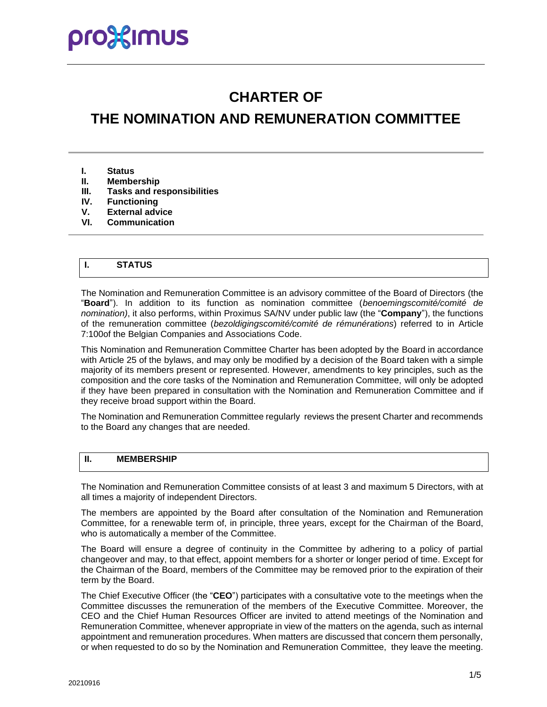# **CHARTER OF**

# **THE NOMINATION AND REMUNERATION COMMITTEE**

- **I. Status**
- **II. Membership**
- **III. Tasks and responsibilities**
- **Functioning**
- **V. External advice**
- **VI. Communication**

## **I. STATUS**

The Nomination and Remuneration Committee is an advisory committee of the Board of Directors (the "**Board**"). In addition to its function as nomination committee (*benoemingscomité/comité de nomination)*, it also performs, within Proximus SA/NV under public law (the "**Company**"), the functions of the remuneration committee (*bezoldigingscomité/comité de rémunérations*) referred to in Article 7:100of the Belgian Companies and Associations Code.

This Nomination and Remuneration Committee Charter has been adopted by the Board in accordance with Article 25 of the bylaws, and may only be modified by a decision of the Board taken with a simple majority of its members present or represented. However, amendments to key principles, such as the composition and the core tasks of the Nomination and Remuneration Committee, will only be adopted if they have been prepared in consultation with the Nomination and Remuneration Committee and if they receive broad support within the Board.

The Nomination and Remuneration Committee regularly reviews the present Charter and recommends to the Board any changes that are needed.

#### **II. MEMBERSHIP**

The Nomination and Remuneration Committee consists of at least 3 and maximum 5 Directors, with at all times a majority of independent Directors.

The members are appointed by the Board after consultation of the Nomination and Remuneration Committee, for a renewable term of, in principle, three years, except for the Chairman of the Board, who is automatically a member of the Committee.

The Board will ensure a degree of continuity in the Committee by adhering to a policy of partial changeover and may, to that effect, appoint members for a shorter or longer period of time. Except for the Chairman of the Board, members of the Committee may be removed prior to the expiration of their term by the Board.

The Chief Executive Officer (the "**CEO**") participates with a consultative vote to the meetings when the Committee discusses the remuneration of the members of the Executive Committee. Moreover, the CEO and the Chief Human Resources Officer are invited to attend meetings of the Nomination and Remuneration Committee, whenever appropriate in view of the matters on the agenda, such as internal appointment and remuneration procedures. When matters are discussed that concern them personally, or when requested to do so by the Nomination and Remuneration Committee, they leave the meeting.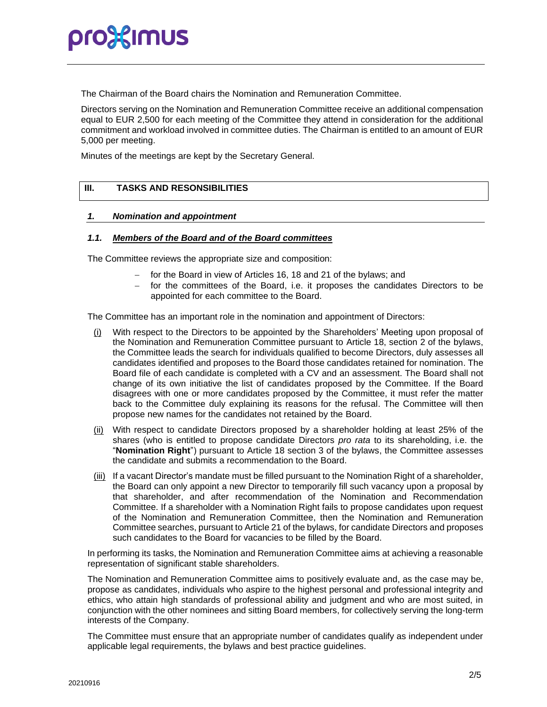# pro%imus

The Chairman of the Board chairs the Nomination and Remuneration Committee.

Directors serving on the Nomination and Remuneration Committee receive an additional compensation equal to EUR 2,500 for each meeting of the Committee they attend in consideration for the additional commitment and workload involved in committee duties. The Chairman is entitled to an amount of EUR 5,000 per meeting.

Minutes of the meetings are kept by the Secretary General.

### **III. TASKS AND RESONSIBILITIES**

#### *1. Nomination and appointment*

#### *1.1. Members of the Board and of the Board committees*

The Committee reviews the appropriate size and composition:

- − for the Board in view of Articles 16, 18 and 21 of the bylaws; and
- − for the committees of the Board, i.e. it proposes the candidates Directors to be appointed for each committee to the Board.

The Committee has an important role in the nomination and appointment of Directors:

- (i) With respect to the Directors to be appointed by the Shareholders' Meeting upon proposal of the Nomination and Remuneration Committee pursuant to Article 18, section 2 of the bylaws, the Committee leads the search for individuals qualified to become Directors, duly assesses all candidates identified and proposes to the Board those candidates retained for nomination. The Board file of each candidate is completed with a CV and an assessment. The Board shall not change of its own initiative the list of candidates proposed by the Committee. If the Board disagrees with one or more candidates proposed by the Committee, it must refer the matter back to the Committee duly explaining its reasons for the refusal. The Committee will then propose new names for the candidates not retained by the Board.
- (ii) With respect to candidate Directors proposed by a shareholder holding at least 25% of the shares (who is entitled to propose candidate Directors *pro rata* to its shareholding, i.e. the "**Nomination Right**") pursuant to Article 18 section 3 of the bylaws, the Committee assesses the candidate and submits a recommendation to the Board.
- (iii) If a vacant Director's mandate must be filled pursuant to the Nomination Right of a shareholder, the Board can only appoint a new Director to temporarily fill such vacancy upon a proposal by that shareholder, and after recommendation of the Nomination and Recommendation Committee. If a shareholder with a Nomination Right fails to propose candidates upon request of the Nomination and Remuneration Committee, then the Nomination and Remuneration Committee searches, pursuant to Article 21 of the bylaws, for candidate Directors and proposes such candidates to the Board for vacancies to be filled by the Board.

In performing its tasks, the Nomination and Remuneration Committee aims at achieving a reasonable representation of significant stable shareholders.

The Nomination and Remuneration Committee aims to positively evaluate and, as the case may be, propose as candidates, individuals who aspire to the highest personal and professional integrity and ethics, who attain high standards of professional ability and judgment and who are most suited, in conjunction with the other nominees and sitting Board members, for collectively serving the long-term interests of the Company.

The Committee must ensure that an appropriate number of candidates qualify as independent under applicable legal requirements, the bylaws and best practice guidelines.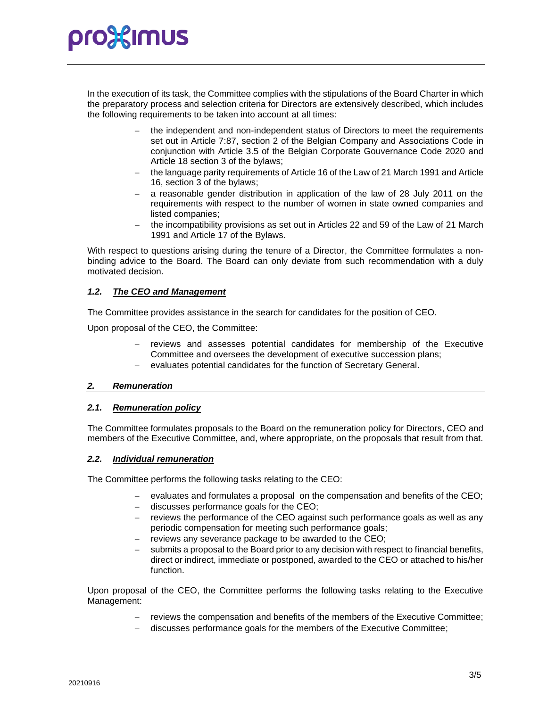# pro}:{Imus

In the execution of its task, the Committee complies with the stipulations of the Board Charter in which the preparatory process and selection criteria for Directors are extensively described, which includes the following requirements to be taken into account at all times:

- the independent and non-independent status of Directors to meet the requirements set out in Article 7:87, section 2 of the Belgian Company and Associations Code in conjunction with Article 3.5 of the Belgian Corporate Gouvernance Code 2020 and Article 18 section 3 of the bylaws;
- − the language parity requirements of Article 16 of the Law of 21 March 1991 and Article 16, section 3 of the bylaws;
- a reasonable gender distribution in application of the law of 28 July 2011 on the requirements with respect to the number of women in state owned companies and listed companies;
- the incompatibility provisions as set out in Articles 22 and 59 of the Law of 21 March 1991 and Article 17 of the Bylaws.

With respect to questions arising during the tenure of a Director, the Committee formulates a nonbinding advice to the Board. The Board can only deviate from such recommendation with a duly motivated decision.

### *1.2. The CEO and Management*

The Committee provides assistance in the search for candidates for the position of CEO.

Upon proposal of the CEO, the Committee:

- reviews and assesses potential candidates for membership of the Executive Committee and oversees the development of executive succession plans;
- − evaluates potential candidates for the function of Secretary General.

#### *2. Remuneration*

#### *2.1. Remuneration policy*

The Committee formulates proposals to the Board on the remuneration policy for Directors, CEO and members of the Executive Committee, and, where appropriate, on the proposals that result from that.

#### *2.2. Individual remuneration*

The Committee performs the following tasks relating to the CEO:

- evaluates and formulates a proposal on the compensation and benefits of the CEO;
- − discusses performance goals for the CEO;
- reviews the performance of the CEO against such performance goals as well as any periodic compensation for meeting such performance goals;
- reviews any severance package to be awarded to the CEO;
- submits a proposal to the Board prior to any decision with respect to financial benefits, direct or indirect, immediate or postponed, awarded to the CEO or attached to his/her function.

Upon proposal of the CEO, the Committee performs the following tasks relating to the Executive Management:

- − reviews the compensation and benefits of the members of the Executive Committee;
- discusses performance goals for the members of the Executive Committee;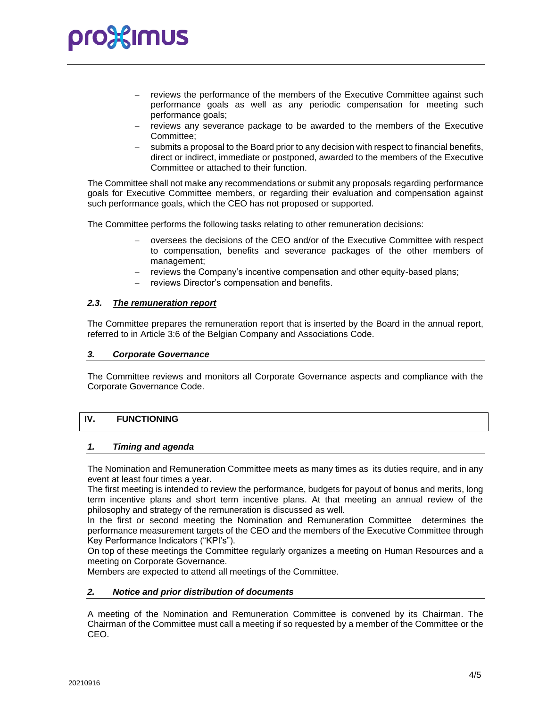# **pro%imus**

- reviews the performance of the members of the Executive Committee against such performance goals as well as any periodic compensation for meeting such performance goals;
- reviews any severance package to be awarded to the members of the Executive Committee;
- submits a proposal to the Board prior to any decision with respect to financial benefits, direct or indirect, immediate or postponed, awarded to the members of the Executive Committee or attached to their function.

The Committee shall not make any recommendations or submit any proposals regarding performance goals for Executive Committee members, or regarding their evaluation and compensation against such performance goals, which the CEO has not proposed or supported.

The Committee performs the following tasks relating to other remuneration decisions:

- − oversees the decisions of the CEO and/or of the Executive Committee with respect to compensation, benefits and severance packages of the other members of management;
- reviews the Company's incentive compensation and other equity-based plans;
- reviews Director's compensation and benefits.

#### *2.3. The remuneration report*

The Committee prepares the remuneration report that is inserted by the Board in the annual report, referred to in Article 3:6 of the Belgian Company and Associations Code.

#### *3. Corporate Governance*

The Committee reviews and monitors all Corporate Governance aspects and compliance with the Corporate Governance Code.

## **IV. FUNCTIONING**

#### *1. Timing and agenda*

The Nomination and Remuneration Committee meets as many times as its duties require, and in any event at least four times a year.

The first meeting is intended to review the performance, budgets for payout of bonus and merits, long term incentive plans and short term incentive plans. At that meeting an annual review of the philosophy and strategy of the remuneration is discussed as well.

In the first or second meeting the Nomination and Remuneration Committee determines the performance measurement targets of the CEO and the members of the Executive Committee through Key Performance Indicators ("KPI's").

On top of these meetings the Committee regularly organizes a meeting on Human Resources and a meeting on Corporate Governance.

Members are expected to attend all meetings of the Committee.

#### *2. Notice and prior distribution of documents*

A meeting of the Nomination and Remuneration Committee is convened by its Chairman. The Chairman of the Committee must call a meeting if so requested by a member of the Committee or the CEO.